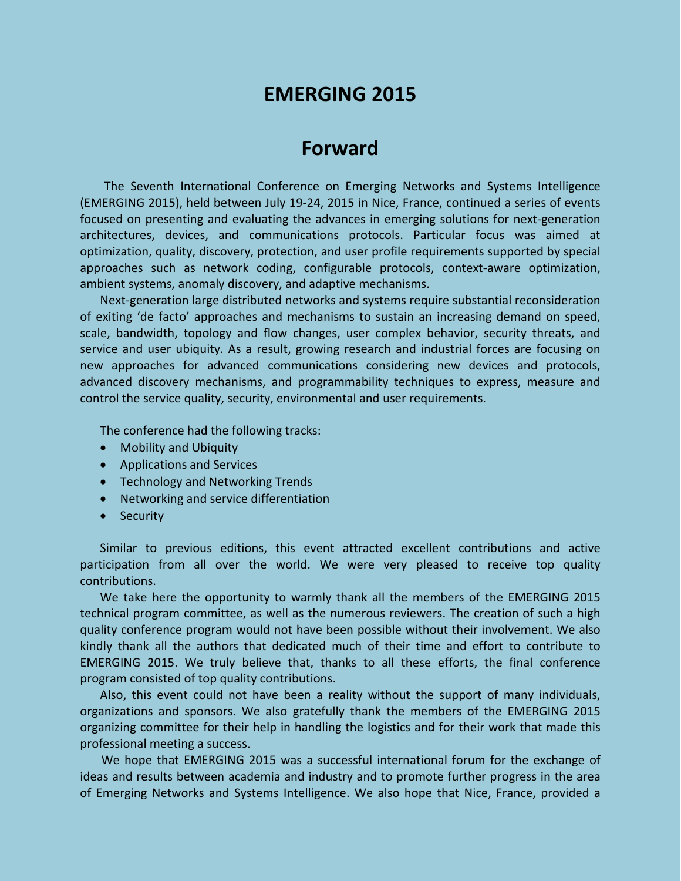# **EMERGING 2015**

## **Forward**

The Seventh International Conference on Emerging Networks and Systems Intelligence (EMERGING 2015), held between July 19-24, 2015 in Nice, France, continued a series of events focused on presenting and evaluating the advances in emerging solutions for next-generation architectures, devices, and communications protocols. Particular focus was aimed at optimization, quality, discovery, protection, and user profile requirements supported by special approaches such as network coding, configurable protocols, context-aware optimization, ambient systems, anomaly discovery, and adaptive mechanisms.

Next-generation large distributed networks and systems require substantial reconsideration of exiting 'de facto' approaches and mechanisms to sustain an increasing demand on speed, scale, bandwidth, topology and flow changes, user complex behavior, security threats, and service and user ubiquity. As a result, growing research and industrial forces are focusing on new approaches for advanced communications considering new devices and protocols, advanced discovery mechanisms, and programmability techniques to express, measure and control the service quality, security, environmental and user requirements.

The conference had the following tracks:

- Mobility and Ubiquity
- Applications and Services
- Technology and Networking Trends
- Networking and service differentiation
- Security

Similar to previous editions, this event attracted excellent contributions and active participation from all over the world. We were very pleased to receive top quality contributions.

We take here the opportunity to warmly thank all the members of the EMERGING 2015 technical program committee, as well as the numerous reviewers. The creation of such a high quality conference program would not have been possible without their involvement. We also kindly thank all the authors that dedicated much of their time and effort to contribute to EMERGING 2015. We truly believe that, thanks to all these efforts, the final conference program consisted of top quality contributions.

Also, this event could not have been a reality without the support of many individuals, organizations and sponsors. We also gratefully thank the members of the EMERGING 2015 organizing committee for their help in handling the logistics and for their work that made this professional meeting a success.

We hope that EMERGING 2015 was a successful international forum for the exchange of ideas and results between academia and industry and to promote further progress in the area of Emerging Networks and Systems Intelligence. We also hope that Nice, France, provided a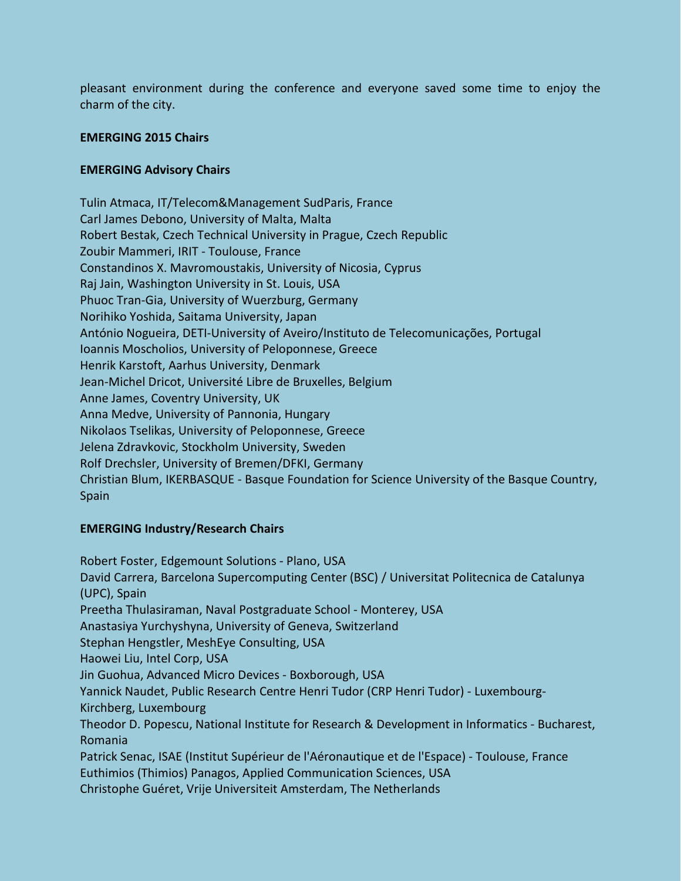pleasant environment during the conference and everyone saved some time to enjoy the charm of the city.

#### **EMERGING 2015 Chairs**

#### **EMERGING Advisory Chairs**

Tulin Atmaca, IT/Telecom&Management SudParis, France Carl James Debono, University of Malta, Malta Robert Bestak, Czech Technical University in Prague, Czech Republic Zoubir Mammeri, IRIT - Toulouse, France Constandinos X. Mavromoustakis, University of Nicosia, Cyprus Raj Jain, Washington University in St. Louis, USA Phuoc Tran-Gia, University of Wuerzburg, Germany Norihiko Yoshida, Saitama University, Japan António Nogueira, DETI-University of Aveiro/Instituto de Telecomunicações, Portugal Ioannis Moscholios, University of Peloponnese, Greece Henrik Karstoft, Aarhus University, Denmark Jean-Michel Dricot, Université Libre de Bruxelles, Belgium Anne James, Coventry University, UK Anna Medve, University of Pannonia, Hungary Nikolaos Tselikas, University of Peloponnese, Greece Jelena Zdravkovic, Stockholm University, Sweden Rolf Drechsler, University of Bremen/DFKI, Germany Christian Blum, IKERBASQUE - Basque Foundation for Science University of the Basque Country, Spain

## **EMERGING Industry/Research Chairs**

Robert Foster, Edgemount Solutions - Plano, USA David Carrera, Barcelona Supercomputing Center (BSC) / Universitat Politecnica de Catalunya (UPC), Spain Preetha Thulasiraman, Naval Postgraduate School - Monterey, USA Anastasiya Yurchyshyna, University of Geneva, Switzerland Stephan Hengstler, MeshEye Consulting, USA Haowei Liu, Intel Corp, USA Jin Guohua, Advanced Micro Devices - Boxborough, USA Yannick Naudet, Public Research Centre Henri Tudor (CRP Henri Tudor) - Luxembourg-Kirchberg, Luxembourg Theodor D. Popescu, National Institute for Research & Development in Informatics - Bucharest, Romania Patrick Senac, ISAE (Institut Supérieur de l'Aéronautique et de l'Espace) - Toulouse, France Euthimios (Thimios) Panagos, Applied Communication Sciences, USA Christophe Guéret, Vrije Universiteit Amsterdam, The Netherlands